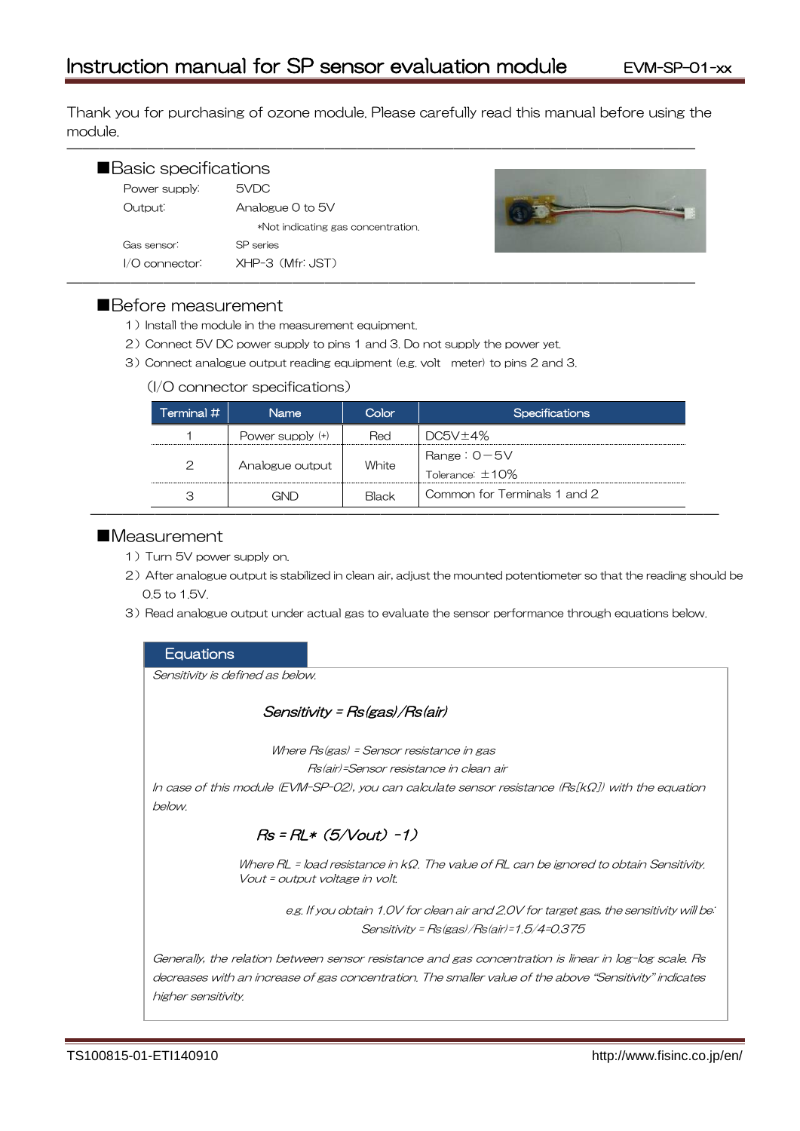Thank you for purchasing of ozone module. Please carefully read this manual before using the module.

―――――――――――――――――――――――――――――――――――――――

| Basic specifications |                                    |  |
|----------------------|------------------------------------|--|
| Power supply:        | 5VDC                               |  |
| Output:              | Analogue 0 to 5V                   |  |
|                      | *Not indicating gas concentration. |  |
| Gas sensor:          | SP series                          |  |
| $1/O$ connector:     | XHP-3 (Mfr: JST)                   |  |



# ■Before measurement

- 1) Install the module in the measurement equipment.
- 2)Connect 5V DC power supply to pins 1 and 3. Do not supply the power yet.
- 3)Connect analogue output reading equipment (e.g. volt meter) to pins 2 and 3.

#### (I/O connector specifications)

| Terminal #    | <b>Name</b>        | Color | <b>Specifications</b>                   |
|---------------|--------------------|-------|-----------------------------------------|
|               | Power supply $(+)$ | Red   | DC5V±4%                                 |
| $\mathcal{P}$ | Analogue output    | White | Range: $0 - 5V$<br>Tolerance: $\pm$ 10% |
| З             | GND                | Black | Common for Terminals 1 and 2            |

# ■Measurement

- 1) Turn 5V power supply on.
- 2) After analogue output is stabilized in clean air, adjust the mounted potentiometer so that the reading should be 0.5 to 1.5V.
- 3) Read analogue output under actual gas to evaluate the sensor performance through equations below.

#### **Equations**

Sensitivity is defined as below.

# Sensitivity = Rs(gas)/Rs(air)

Where Rs(gas) = Sensor resistance in gas

Rs(air)=Sensor resistance in clean air

In case of this module (EVM-SP-02), you can calculate sensor resistance (Rs[kΩ]) with the equation below.

# $Rs = RL * (5/Vout) -1)$

Where RL = load resistance in kΩ. The value of RL can be ignored to obtain Sensitivity. Vout = output voltage in volt.

> e.g. If you obtain 1.0V for clean air and 2.0V for target gas, the sensitivity will be: Sensitivity = Rs(gas)/Rs(air)=1.5/4=0.375

Generally, the relation between sensor resistance and gas concentration is linear in log-log scale. Rs decreases with an increase of gas concentration. The smaller value of the above "Sensitivity" indicates higher sensitivity.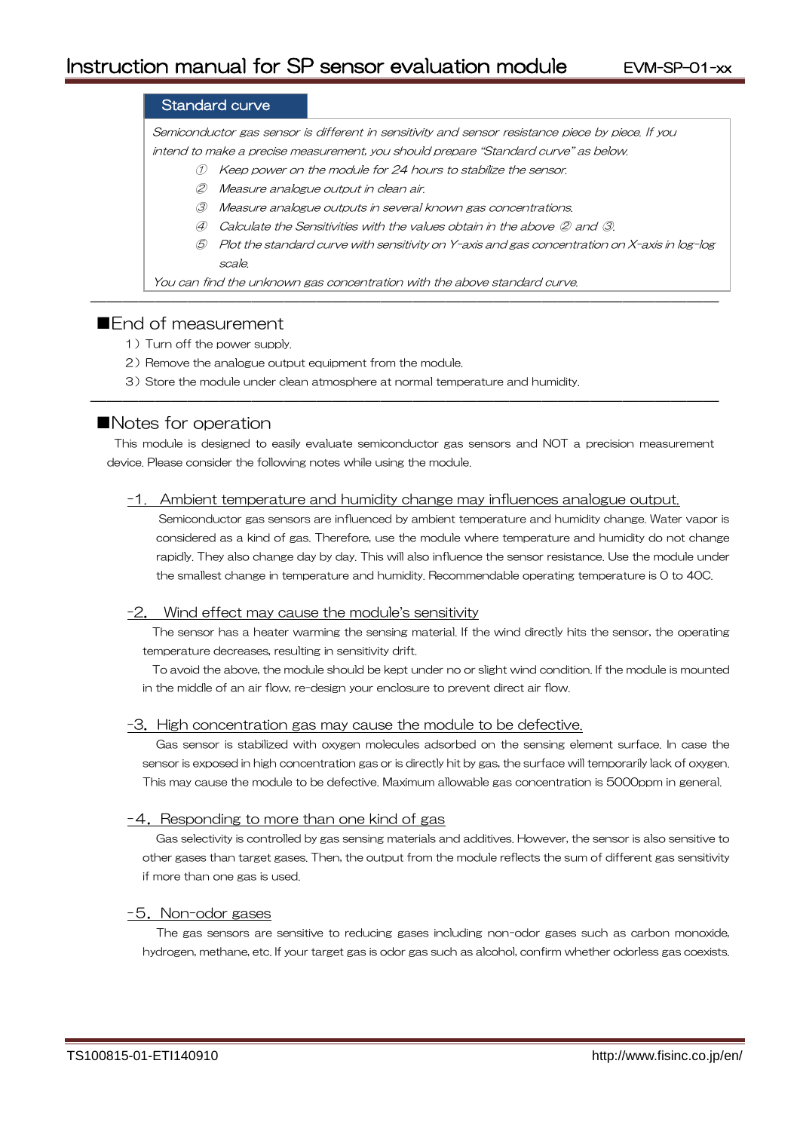# Standard curve

Semiconductor gas sensor is different in sensitivity and sensor resistance piece by piece. If you intend to make a precise measurement, you should prepare "Standard curve" as below.

- ① Keep power on the module for 24 hours to stabilize the sensor.
- ② Measure analogue output in clean air.
- ③ Measure analogue outputs in several known gas concentrations.
- ④ Calculate the Sensitivities with the values obtain in the above ② and ③.

―――――――――――――――――――――――――――――――――――――――

⑤ Plot the standard curve with sensitivity on Y-axis and gas concentration on X-axis in log-log scale.

You can find the unknown gas concentration with the above standard curve.

# ■**Fnd of measurement**

- 1) Turn off the power supply.
- 2) Remove the analogue output equipment from the module.
- 3) Store the module under clean atmosphere at normal temperature and humidity.

# ■Notes for operation

This module is designed to easily evaluate semiconductor gas sensors and NOT a precision measurement device. Please consider the following notes while using the module.

―――――――――――――――――――――――――――――――――――――――

#### -1. Ambient temperature and humidity change may influences analogue output.

Semiconductor gas sensors are influenced by ambient temperature and humidity change. Water vapor is considered as a kind of gas. Therefore, use the module where temperature and humidity do not change rapidly. They also change day by day. This will also influence the sensor resistance. Use the module under the smallest change in temperature and humidity. Recommendable operating temperature is 0 to 40C.

#### -2. Wind effect may cause the module's sensitivity

The sensor has a heater warming the sensing material. If the wind directly hits the sensor, the operating temperature decreases, resulting in sensitivity drift.

To avoid the above, the module should be kept under no or slight wind condition. If the module is mounted in the middle of an air flow, re-design your enclosure to prevent direct air flow.

#### -3.High concentration gas may cause the module to be defective.

Gas sensor is stabilized with oxygen molecules adsorbed on the sensing element surface. In case the sensor is exposed in high concentration gas or is directly hit by gas, the surface will temporarily lack of oxygen. This may cause the module to be defective. Maximum allowable gas concentration is 5000ppm in general.

#### -4. Responding to more than one kind of gas

Gas selectivity is controlled by gas sensing materials and additives. However, the sensor is also sensitive to other gases than target gases. Then, the output from the module reflects the sum of different gas sensitivity if more than one gas is used.

#### -5.Non-odor gases

The gas sensors are sensitive to reducing gases including non-odor gases such as carbon monoxide, hydrogen, methane, etc. If your target gas is odor gas such as alcohol, confirm whether odorless gas coexists.